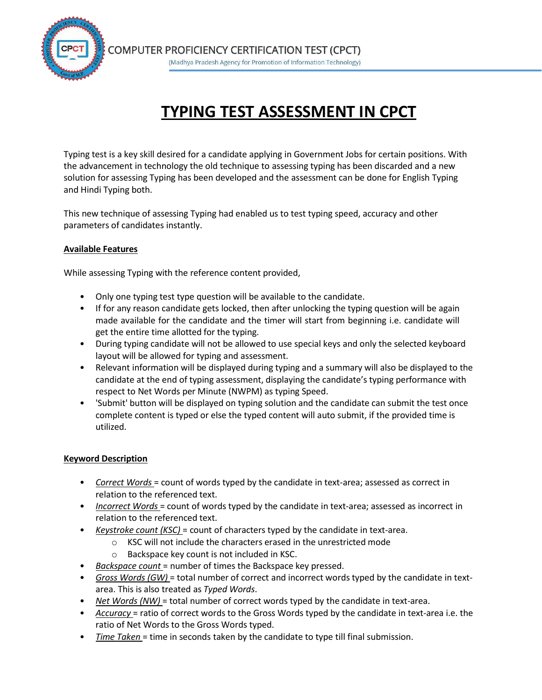

# **TYPING TEST ASSESSMENT IN CPCT**

Typing test is a key skill desired for a candidate applying in Government Jobs for certain positions. With the advancement in technology the old technique to assessing typing has been discarded and a new solution for assessing Typing has been developed and the assessment can be done for English Typing and Hindi Typing both.

This new technique of assessing Typing had enabled us to test typing speed, accuracy and other parameters of candidates instantly.

# **Available Features**

While assessing Typing with the reference content provided,

- Only one typing test type question will be available to the candidate.
- If for any reason candidate gets locked, then after unlocking the typing question will be again made available for the candidate and the timer will start from beginning i.e. candidate will get the entire time allotted for the typing.
- During typing candidate will not be allowed to use special keys and only the selected keyboard layout will be allowed for typing and assessment.
- Relevant information will be displayed during typing and a summary will also be displayed to the candidate at the end of typing assessment, displaying the candidate's typing performance with respect to Net Words per Minute (NWPM) as typing Speed.
- 'Submit' button will be displayed on typing solution and the candidate can submit the test once complete content is typed or else the typed content will auto submit, if the provided time is utilized.

### **Keyword Description**

- *Correct Words* = count of words typed by the candidate in text-area; assessed as correct in relation to the referenced text.
- *Incorrect Words* = count of words typed by the candidate in text-area; assessed as incorrect in relation to the referenced text.
- *Keystroke count (KSC)* = count of characters typed by the candidate in text-area.
	- o KSC will not include the characters erased in the unrestricted mode
	- o Backspace key count is not included in KSC.
- *Backspace count* = number of times the Backspace key pressed.
- *Gross Words (GW)* = total number of correct and incorrect words typed by the candidate in textarea. This is also treated as *Typed Words*.
- *Net Words (NW)* = total number of correct words typed by the candidate in text-area.
- *Accuracy* = ratio of correct words to the Gross Words typed by the candidate in text-area i.e. the ratio of Net Words to the Gross Words typed.
- *Time Taken* = time in seconds taken by the candidate to type till final submission.